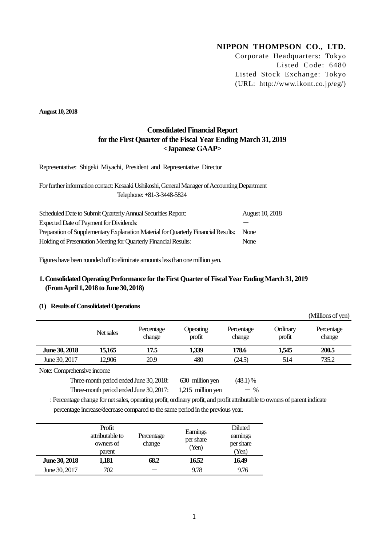# **NIPPON THOMPSON CO., LTD.**

Corporate Headquarters: Tokyo Listed Code: 6480 Listed Stock Exchange: Tokyo (URL: http://www.ikont.co.jp/eg/)

(Millions of yen)

**August 10, 2018**

# **Consolidated Financial Report for the First Quarter of the Fiscal Year Ending March 31, 2019 <Japanese GAAP>**

Representative: Shigeki Miyachi, President and Representative Director

For further information contact: Kesaaki Ushikoshi, General Manager of Accounting Department Telephone: +81-3-3448-5824

| Scheduled Date to Submit Quarterly Annual Securities Report:                       | <b>August 10, 2018</b> |
|------------------------------------------------------------------------------------|------------------------|
| Expected Date of Payment for Dividends:                                            |                        |
| Preparation of Supplementary Explanation Material for Quarterly Financial Results: | None                   |
| Holding of Presentation Meeting for Quarterly Financial Results:                   | None                   |

Figures have been rounded off to eliminate amounts less than one million yen.

# **1. Consolidated Operating Performance for the First Quarter of Fiscal Year Ending March 31, 2019 (From April 1, 2018 to June 30, 2018)**

## **(1) Results of Consolidated Operations**

|               |           |                      |                            |                      |                    | TMITTOUS OF ACITY    |
|---------------|-----------|----------------------|----------------------------|----------------------|--------------------|----------------------|
|               | Net sales | Percentage<br>change | <b>Operating</b><br>profit | Percentage<br>change | Ordinary<br>profit | Percentage<br>change |
| June 30, 2018 | 15,165    | 17.5                 | 1,339                      | 178.6                | 1,545              | 200.5                |
| June 30, 2017 | 12,906    | 20.9                 | 480                        | (24.5)               | 514                | 735.2                |
| $\mathbf{v}$  |           |                      |                            |                      |                    |                      |

Note: Comprehensive income

Three-month period ended June 30, 2018:  $\qquad$  630 million yen (48.1) %

Three-month period ended June 30, 2017:  $1,215$  million yen  $-$  %

: Percentage change for net sales, operating profit, ordinary profit, and profit attributable to owners of parent indicate percentage increase/decrease compared to the same period in the previous year.

|               | Profit<br>attributable to<br>owners of<br>parent | Percentage<br>change | Earnings<br>per share<br>(Yen) | <b>Diluted</b><br>earnings<br>per share<br>(Yen) |
|---------------|--------------------------------------------------|----------------------|--------------------------------|--------------------------------------------------|
| June 30, 2018 | 1,181                                            | 68.2                 | 16.52                          | 16.49                                            |
| June 30, 2017 | 702                                              |                      | 9.78                           | 9.76                                             |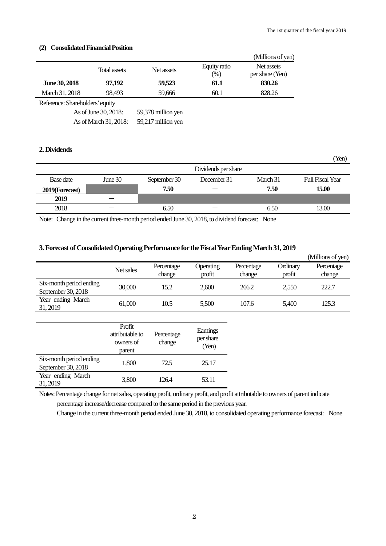(Yen)

### **(2) Consolidated Financial Position**

|                                 |                                                               |                                                                    |                        | (Millions of yen)             |
|---------------------------------|---------------------------------------------------------------|--------------------------------------------------------------------|------------------------|-------------------------------|
|                                 | <b>Total assets</b>                                           | Net assets                                                         | Equity ratio<br>$(\%)$ | Net assets<br>per share (Yen) |
| <b>June 30, 2018</b>            | 97,192                                                        | 59.523                                                             | 61.1                   | 830.26                        |
| March 31, 2018                  | 98.493                                                        | 59,666                                                             | 60.1                   | 828.26                        |
| Reference: Shareholders' equity |                                                               |                                                                    |                        |                               |
|                                 | As of June 30, 2018:<br>$\sqrt{211}$ $\sqrt{21}$ $\sqrt{210}$ | 59,378 million yen<br>$\sim$ $\sim$ 1 $\sim$<br>$\cdot$ 11 $\cdot$ |                        |                               |

As of March 31, 2018: 59,217 million yen

# **2. Dividends**

|                |           |              | Dividends per share      |          |                         |
|----------------|-----------|--------------|--------------------------|----------|-------------------------|
| Base date      | June $30$ | September 30 | December 31              | March 31 | <b>Full Fiscal Year</b> |
| 2019(Forecast) |           | 7.50         |                          | 7.50     | 15.00                   |
| 2019           |           |              |                          |          |                         |
| 2018           |           | 6.50         | $\overline{\phantom{a}}$ | 6.50     | 13.00                   |

Note: Change in the current three-month period ended June 30, 2018, to dividend forecast: None

### **3. Forecast of Consolidated Operating Performance for the Fiscal Year Ending March 31, 2019**

|                                               |                                                  |                      |                                |                      |                    | (Millions of yen)    |
|-----------------------------------------------|--------------------------------------------------|----------------------|--------------------------------|----------------------|--------------------|----------------------|
|                                               | Net sales                                        | Percentage<br>change | Operating<br>profit            | Percentage<br>change | Ordinary<br>profit | Percentage<br>change |
| Six-month period ending<br>September 30, 2018 | 30,000                                           | 15.2                 | 2,600                          | 266.2                | 2,550              | 222.7                |
| Year ending March<br>31, 2019                 | 61,000                                           | 10.5                 | 5,500                          | 107.6                | 5,400              | 125.3                |
|                                               |                                                  |                      |                                |                      |                    |                      |
|                                               | Profit<br>attributable to<br>owners of<br>parent | Percentage<br>change | Earnings<br>per share<br>(Yen) |                      |                    |                      |
| Six-month period ending<br>September 30, 2018 | 1,800                                            | 72.5                 | 25.17                          |                      |                    |                      |
| Year ending March<br>31, 2019                 | 3,800                                            | 126.4                | 53.11                          |                      |                    |                      |
|                                               |                                                  |                      |                                |                      |                    |                      |

Notes: Percentage change for net sales, operating profit, ordinary profit, and profit attributable to owners of parent indicate percentage increase/decrease compared to the same period in the previous year.

Change in the current three-month period ended June 30, 2018, to consolidated operating performance forecast: None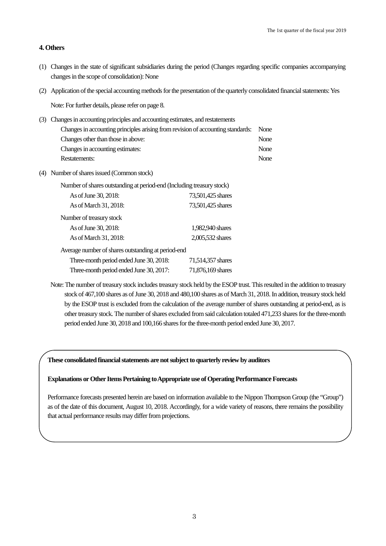### **4. Others**

- (1) Changes in the state of significant subsidiaries during the period (Changes regarding specific companies accompanying changes in the scope of consolidation): None
- (2) Application of the special accounting methods for the presentation of the quarterly consolidated financial statements: Yes

Note: For further details, please refer on page 8.

- (3) Changes in accounting principles and accounting estimates, and restatements Changes in accounting principles arising from revision of accounting standards: None Changes other than those in above: None Changes in accounting estimates: None Restatements: None
- (4) Number of shares issued (Common stock)

| Number of shares outstanding at period-end (Including treasury stock) |                   |
|-----------------------------------------------------------------------|-------------------|
| As of June 30, 2018:                                                  | 73,501,425 shares |
| As of March 31, 2018:                                                 | 73,501,425 shares |
| Number of treasury stock                                              |                   |
| As of June 30, 2018:                                                  | 1.982.940 shares  |
| As of March 31, 2018:                                                 | 2,005,532 shares  |
| Average number of shares outstanding at period-end                    |                   |
| Three-month period ended June 30, 2018:                               | 71,514,357 shares |
| Three-month period ended June 30, 2017:                               | 71,876,169 shares |

Note: The number of treasury stock includes treasury stock held by the ESOP trust. This resulted in the addition to treasury stock of 467,100 shares as of June 30, 2018 and 480,100 shares as of March 31, 2018. In addition, treasury stock held by the ESOP trust is excluded from the calculation of the average number of shares outstanding at period-end, as is other treasury stock. The number of shares excluded from said calculation totaled 471,233 shares for the three-month period ended June 30, 2018 and 100,166 shares for the three-month period ended June 30, 2017.

#### **These consolidated financial statements are not subject to quarterly review by auditors**

### **Explanations or Other Items Pertaining to Appropriate use of Operating PerformanceForecasts**

Performance forecasts presented herein are based on information available to the Nippon Thompson Group (the "Group") as of the date of this document, August 10, 2018. Accordingly, for a wide variety of reasons, there remains the possibility that actual performance results may differ from projections.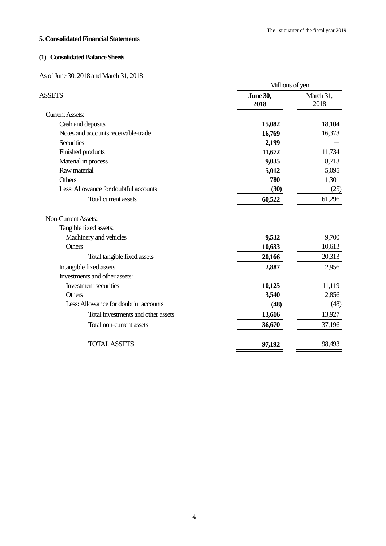### **5. Consolidated Financial Statements**

# **(1) Consolidated Balance Sheets**

As of June 30, 2018 and March 31, 2018

|                                       | Millions of yen         |                   |  |
|---------------------------------------|-------------------------|-------------------|--|
| <b>ASSETS</b>                         | <b>June 30,</b><br>2018 | March 31,<br>2018 |  |
| <b>Current Assets:</b>                |                         |                   |  |
| Cash and deposits                     | 15,082                  | 18,104            |  |
| Notes and accounts receivable-trade   | 16,769                  | 16,373            |  |
| <b>Securities</b>                     | 2,199                   |                   |  |
| Finished products                     | 11,672                  | 11,734            |  |
| Material in process                   | 9,035                   | 8,713             |  |
| Raw material                          | 5,012                   | 5,095             |  |
| Others                                | 780                     | 1,301             |  |
| Less: Allowance for doubtful accounts | (30)                    | (25)              |  |
| Total current assets                  | 60,522                  | 61,296            |  |
| <b>Non-Current Assets:</b>            |                         |                   |  |
| Tangible fixed assets:                |                         |                   |  |
| Machinery and vehicles                | 9,532                   | 9,700             |  |
| Others                                | 10,633                  | 10,613            |  |
| Total tangible fixed assets           | 20,166                  | 20,313            |  |
| Intangible fixed assets               | 2,887                   | 2,956             |  |
| Investments and other assets:         |                         |                   |  |
| Investment securities                 | 10,125                  | 11,119            |  |
| <b>Others</b>                         | 3,540                   | 2,856             |  |
| Less: Allowance for doubtful accounts | (48)                    | (48)              |  |
| Total investments and other assets    | 13,616                  | 13,927            |  |
| Total non-current assets              | 36,670                  | 37,196            |  |
| <b>TOTAL ASSETS</b>                   | 97,192                  | 98,493            |  |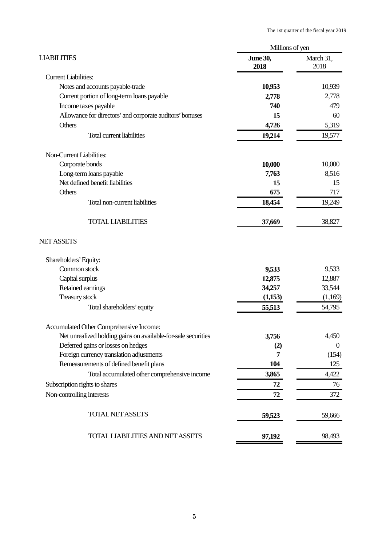| Millions of yen         |                          |  |
|-------------------------|--------------------------|--|
| <b>June 30,</b><br>2018 | March 31,<br>2018        |  |
|                         |                          |  |
| 10,953                  | 10,939                   |  |
| 2,778                   | 2,778                    |  |
| 740                     | 479                      |  |
| 15                      | 60                       |  |
| 4,726                   | 5,319                    |  |
| 19,214                  | 19,577                   |  |
|                         |                          |  |
| 10,000                  | 10,000                   |  |
| 7,763                   | 8,516                    |  |
| 15                      | 15                       |  |
| 675                     | 717                      |  |
| 18,454                  | 19,249                   |  |
| 37,669                  | 38,827                   |  |
|                         |                          |  |
|                         |                          |  |
| 9,533                   | 9,533                    |  |
| 12,875                  | 12,887                   |  |
|                         | 33,544                   |  |
|                         | (1,169)                  |  |
| 55,513                  | 54,795                   |  |
|                         |                          |  |
| 3,756                   | 4,450                    |  |
| (2)                     | $\overline{0}$           |  |
| 7                       | (154)                    |  |
|                         | 125                      |  |
| 3,865                   | 4,422                    |  |
| 72                      | 76                       |  |
| 72                      | 372                      |  |
| 59,523                  | 59,666                   |  |
| 97,192                  | 98,493                   |  |
|                         | 34,257<br>(1,153)<br>104 |  |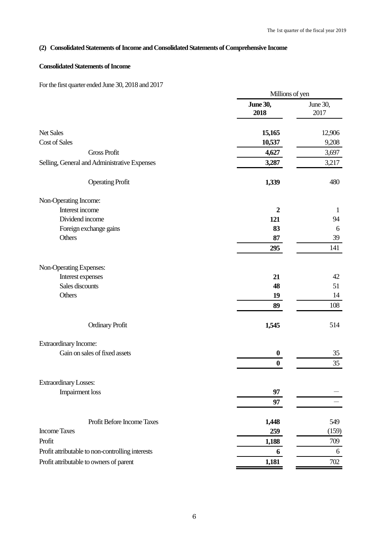# **(2) Consolidated Statements of Income and Consolidated Statements of Comprehensive Income**

# **Consolidated Statements of Income**

For the first quarter ended June 30, 2018 and 2017

|                                                  | Millions of yen         |                  |  |
|--------------------------------------------------|-------------------------|------------------|--|
|                                                  | <b>June 30,</b><br>2018 | June 30,<br>2017 |  |
| <b>Net Sales</b>                                 | 15,165                  | 12,906           |  |
| Cost of Sales                                    | 10,537                  | 9,208            |  |
| <b>Gross Profit</b>                              | 4,627                   | 3,697            |  |
| Selling, General and Administrative Expenses     | 3,287                   | 3,217            |  |
| <b>Operating Profit</b>                          | 1,339                   | 480              |  |
| Non-Operating Income:                            |                         |                  |  |
| Interest income                                  | $\overline{2}$          | $\mathbf{1}$     |  |
| Dividend income                                  | 121                     | 94               |  |
| Foreign exchange gains                           | 83                      | 6                |  |
| Others                                           | 87                      | 39               |  |
|                                                  | 295                     | 141              |  |
| Non-Operating Expenses:                          |                         |                  |  |
| Interest expenses                                | 21                      | 42               |  |
| Sales discounts                                  | 48                      | 51               |  |
| Others                                           | 19                      | 14               |  |
|                                                  | 89                      | 108              |  |
| <b>Ordinary Profit</b>                           | 1,545                   | 514              |  |
| <b>Extraordinary Income:</b>                     |                         |                  |  |
| Gain on sales of fixed assets                    | $\boldsymbol{0}$        | 35               |  |
|                                                  | $\bf{0}$                | 35               |  |
| <b>Extraordinary Losses:</b>                     |                         |                  |  |
| <b>Impairment</b> loss                           | 97                      |                  |  |
|                                                  | 97                      |                  |  |
| Profit Before Income Taxes                       | 1,448                   | 549              |  |
| <b>Income Taxes</b>                              | 259                     | (159)            |  |
| Profit                                           | 1,188                   | 709              |  |
| Profit attributable to non-controlling interests | 6                       | 6                |  |
| Profit attributable to owners of parent          | 1,181                   | 702              |  |
|                                                  |                         |                  |  |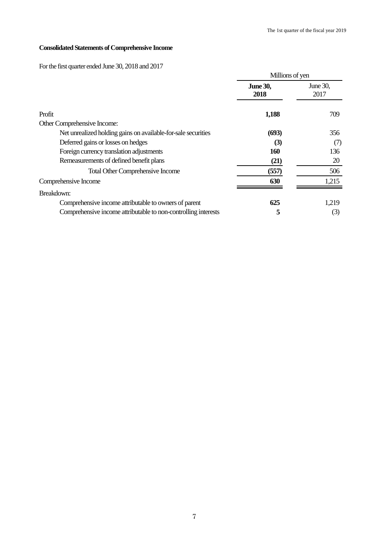# **Consolidated Statements of Comprehensive Income**

# For the first quarter ended June 30, 2018 and 2017

|                                                                |                         | Millions of yen  |  |  |
|----------------------------------------------------------------|-------------------------|------------------|--|--|
|                                                                | <b>June 30,</b><br>2018 | June 30,<br>2017 |  |  |
| Profit                                                         | 1,188                   | 709              |  |  |
| Other Comprehensive Income:                                    |                         |                  |  |  |
| Net unrealized holding gains on available-for-sale securities  | (693)                   | 356              |  |  |
| Deferred gains or losses on hedges                             | (3)                     | (7)              |  |  |
| Foreign currency translation adjustments                       | 160                     | 136              |  |  |
| Remeasurements of defined benefit plans                        | (21)                    | 20               |  |  |
| <b>Total Other Comprehensive Income</b>                        | (557)                   | 506              |  |  |
| Comprehensive Income                                           | 630                     | 1,215            |  |  |
| Breakdown:                                                     |                         |                  |  |  |
| Comprehensive income attributable to owners of parent          | 625                     | 1,219            |  |  |
| Comprehensive income attributable to non-controlling interests | 5                       | (3)              |  |  |